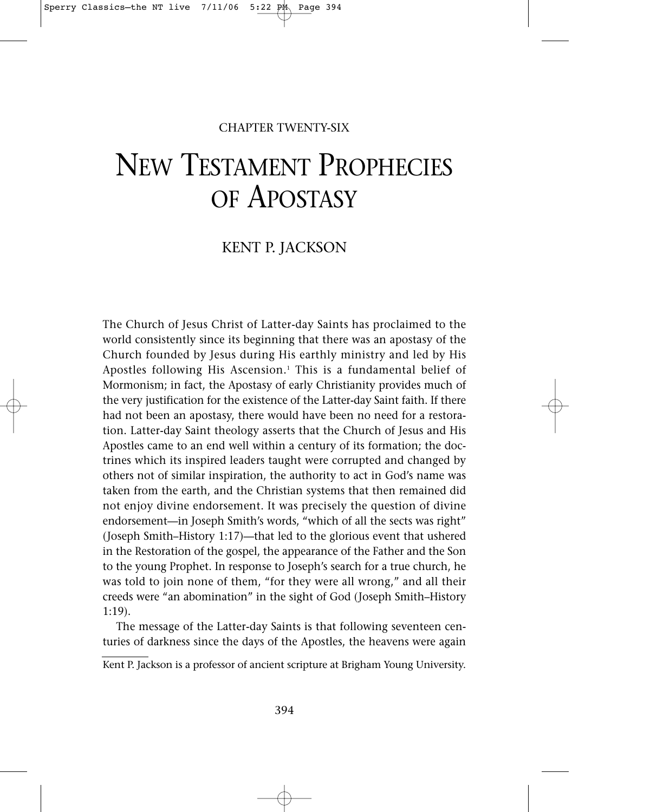# NEW TESTAMENT PROPHECIES OF APOSTASY

## KENT P. JACKSON

The Church of Jesus Christ of Latter-day Saints has proclaimed to the world consistently since its beginning that there was an apostasy of the Church founded by Jesus during His earthly ministry and led by His Apostles following His Ascension.<sup>1</sup> This is a fundamental belief of Mormonism; in fact, the Apostasy of early Christianity provides much of the very justification for the existence of the Latter-day Saint faith. If there had not been an apostasy, there would have been no need for a restoration. Latter-day Saint theology asserts that the Church of Jesus and His Apostles came to an end well within a century of its formation; the doctrines which its inspired leaders taught were corrupted and changed by others not of similar inspiration, the authority to act in God's name was taken from the earth, and the Christian systems that then remained did not enjoy divine endorsement. It was precisely the question of divine endorsement—in Joseph Smith's words, "which of all the sects was right" (Joseph Smith–History 1:17)—that led to the glorious event that ushered in the Restoration of the gospel, the appearance of the Father and the Son to the young Prophet. In response to Joseph's search for a true church, he was told to join none of them, "for they were all wrong," and all their creeds were "an abomination" in the sight of God (Joseph Smith–History 1:19).

The message of the Latter-day Saints is that following seventeen centuries of darkness since the days of the Apostles, the heavens were again

Kent P. Jackson is a professor of ancient scripture at Brigham Young University.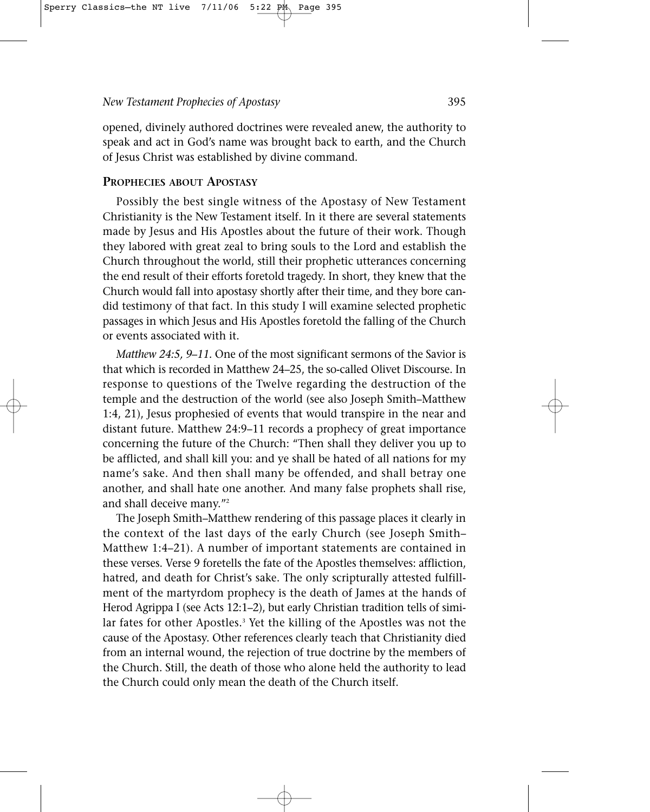opened, divinely authored doctrines were revealed anew, the authority to speak and act in God's name was brought back to earth, and the Church of Jesus Christ was established by divine command.

#### **PROPHECIES ABOUT APOSTASY**

Possibly the best single witness of the Apostasy of New Testament Christianity is the New Testament itself. In it there are several statements made by Jesus and His Apostles about the future of their work. Though they labored with great zeal to bring souls to the Lord and establish the Church throughout the world, still their prophetic utterances concerning the end result of their efforts foretold tragedy. In short, they knew that the Church would fall into apostasy shortly after their time, and they bore candid testimony of that fact. In this study I will examine selected prophetic passages in which Jesus and His Apostles foretold the falling of the Church or events associated with it.

*Matthew 24:5, 9–11.* One of the most significant sermons of the Savior is that which is recorded in Matthew 24–25, the so-called Olivet Discourse. In response to questions of the Twelve regarding the destruction of the temple and the destruction of the world (see also Joseph Smith–Matthew 1:4, 21), Jesus prophesied of events that would transpire in the near and distant future. Matthew 24:9–11 records a prophecy of great importance concerning the future of the Church: "Then shall they deliver you up to be afflicted, and shall kill you: and ye shall be hated of all nations for my name's sake. And then shall many be offended, and shall betray one another, and shall hate one another. And many false prophets shall rise, and shall deceive many."2

The Joseph Smith–Matthew rendering of this passage places it clearly in the context of the last days of the early Church (see Joseph Smith– Matthew 1:4–21). A number of important statements are contained in these verses. Verse 9 foretells the fate of the Apostles themselves: affliction, hatred, and death for Christ's sake. The only scripturally attested fulfillment of the martyrdom prophecy is the death of James at the hands of Herod Agrippa I (see Acts 12:1–2), but early Christian tradition tells of similar fates for other Apostles.<sup>3</sup> Yet the killing of the Apostles was not the cause of the Apostasy. Other references clearly teach that Christianity died from an internal wound, the rejection of true doctrine by the members of the Church. Still, the death of those who alone held the authority to lead the Church could only mean the death of the Church itself.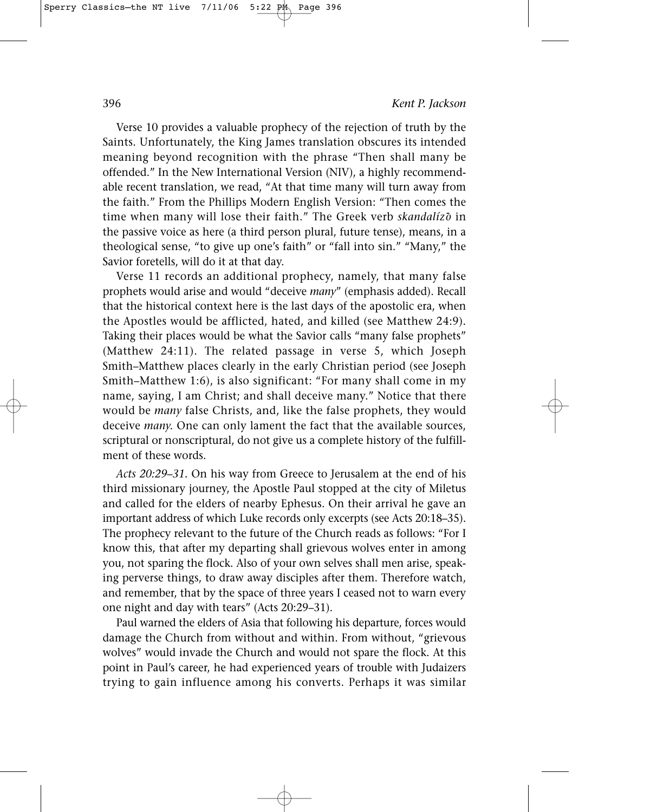Verse 10 provides a valuable prophecy of the rejection of truth by the Saints. Unfortunately, the King James translation obscures its intended meaning beyond recognition with the phrase "Then shall many be offended." In the New International Version (NIV), a highly recommendable recent translation, we read, "At that time many will turn away from the faith." From the Phillips Modern English Version: "Then comes the time when many will lose their faith." The Greek verb *skandalízo* in the passive voice as here (a third person plural, future tense), means, in a theological sense, "to give up one's faith" or "fall into sin." "Many," the Savior foretells, will do it at that day.

Verse 11 records an additional prophecy, namely, that many false prophets would arise and would "deceive *many*" (emphasis added). Recall that the historical context here is the last days of the apostolic era, when the Apostles would be afflicted, hated, and killed (see Matthew 24:9). Taking their places would be what the Savior calls "many false prophets" (Matthew 24:11). The related passage in verse 5, which Joseph Smith–Matthew places clearly in the early Christian period (see Joseph Smith–Matthew 1:6), is also significant: "For many shall come in my name, saying, I am Christ; and shall deceive many." Notice that there would be *many* false Christs, and, like the false prophets, they would deceive *many.* One can only lament the fact that the available sources, scriptural or nonscriptural, do not give us a complete history of the fulfillment of these words.

*Acts 20:29–31.* On his way from Greece to Jerusalem at the end of his third missionary journey, the Apostle Paul stopped at the city of Miletus and called for the elders of nearby Ephesus. On their arrival he gave an important address of which Luke records only excerpts (see Acts 20:18–35). The prophecy relevant to the future of the Church reads as follows: "For I know this, that after my departing shall grievous wolves enter in among you, not sparing the flock. Also of your own selves shall men arise, speaking perverse things, to draw away disciples after them. Therefore watch, and remember, that by the space of three years I ceased not to warn every one night and day with tears" (Acts 20:29–31).

Paul warned the elders of Asia that following his departure, forces would damage the Church from without and within. From without, "grievous wolves" would invade the Church and would not spare the flock. At this point in Paul's career, he had experienced years of trouble with Judaizers trying to gain influence among his converts. Perhaps it was similar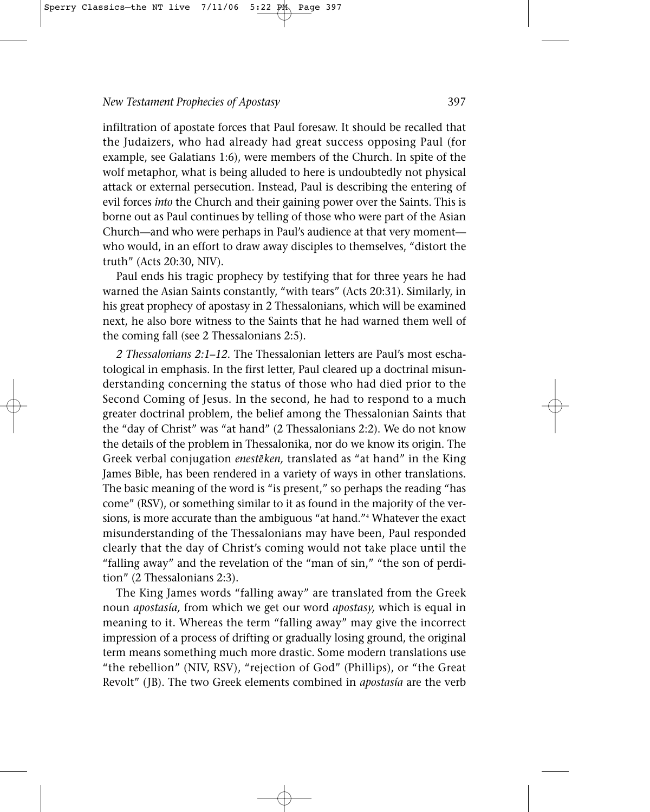infiltration of apostate forces that Paul foresaw. It should be recalled that the Judaizers, who had already had great success opposing Paul (for example, see Galatians 1:6), were members of the Church. In spite of the wolf metaphor, what is being alluded to here is undoubtedly not physical attack or external persecution. Instead, Paul is describing the entering of evil forces *into* the Church and their gaining power over the Saints. This is borne out as Paul continues by telling of those who were part of the Asian Church—and who were perhaps in Paul's audience at that very moment who would, in an effort to draw away disciples to themselves, "distort the truth" (Acts 20:30, NIV).

Paul ends his tragic prophecy by testifying that for three years he had warned the Asian Saints constantly, "with tears" (Acts 20:31). Similarly, in his great prophecy of apostasy in 2 Thessalonians, which will be examined next, he also bore witness to the Saints that he had warned them well of the coming fall (see 2 Thessalonians 2:5).

*2 Thessalonians 2:1–12.* The Thessalonian letters are Paul's most eschatological in emphasis. In the first letter, Paul cleared up a doctrinal misunderstanding concerning the status of those who had died prior to the Second Coming of Jesus. In the second, he had to respond to a much greater doctrinal problem, the belief among the Thessalonian Saints that the "day of Christ" was "at hand" (2 Thessalonians 2:2). We do not know the details of the problem in Thessalonika, nor do we know its origin. The Greek verbal conjugation *enesteken*, translated as "at hand" in the King James Bible, has been rendered in a variety of ways in other translations. The basic meaning of the word is "is present," so perhaps the reading "has come" (RSV), or something similar to it as found in the majority of the versions, is more accurate than the ambiguous "at hand."4 Whatever the exact misunderstanding of the Thessalonians may have been, Paul responded clearly that the day of Christ's coming would not take place until the "falling away" and the revelation of the "man of sin," "the son of perdition" (2 Thessalonians 2:3).

The King James words "falling away" are translated from the Greek noun *apostasía,* from which we get our word *apostasy,* which is equal in meaning to it. Whereas the term "falling away" may give the incorrect impression of a process of drifting or gradually losing ground, the original term means something much more drastic. Some modern translations use "the rebellion" (NIV, RSV), "rejection of God" (Phillips), or "the Great Revolt" (JB). The two Greek elements combined in *apostasía* are the verb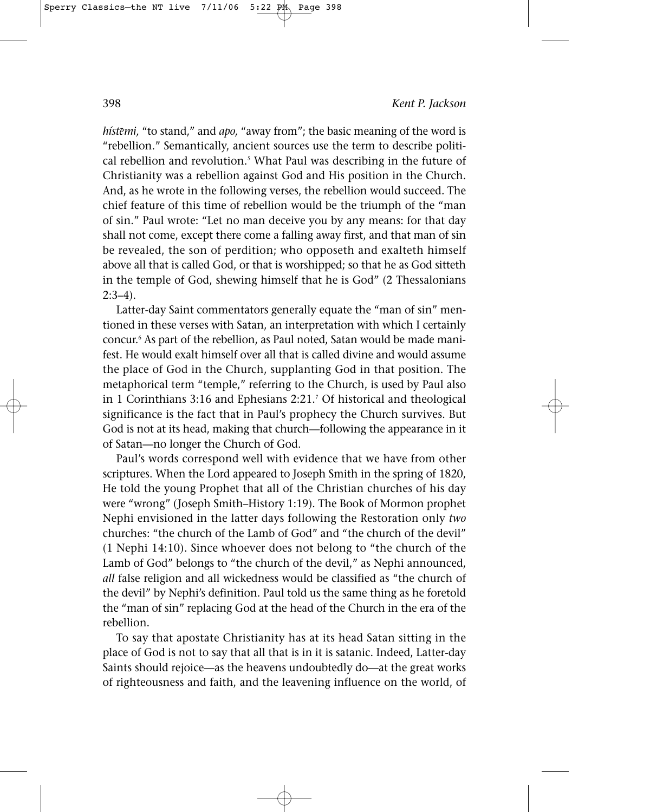*hístemi,* "to stand," and *apo,* "away from"; the basic meaning of the word is "rebellion." Semantically, ancient sources use the term to describe political rebellion and revolution.<sup>5</sup> What Paul was describing in the future of Christianity was a rebellion against God and His position in the Church. And, as he wrote in the following verses, the rebellion would succeed. The chief feature of this time of rebellion would be the triumph of the "man of sin." Paul wrote: "Let no man deceive you by any means: for that day shall not come, except there come a falling away first, and that man of sin be revealed, the son of perdition; who opposeth and exalteth himself above all that is called God, or that is worshipped; so that he as God sitteth in the temple of God, shewing himself that he is God" (2 Thessalonians  $2:3-4$ ).

Latter-day Saint commentators generally equate the "man of sin" mentioned in these verses with Satan, an interpretation with which I certainly concur.6 As part of the rebellion, as Paul noted, Satan would be made manifest. He would exalt himself over all that is called divine and would assume the place of God in the Church, supplanting God in that position. The metaphorical term "temple," referring to the Church, is used by Paul also in 1 Corinthians 3:16 and Ephesians 2:21.7 Of historical and theological significance is the fact that in Paul's prophecy the Church survives. But God is not at its head, making that church—following the appearance in it of Satan—no longer the Church of God.

Paul's words correspond well with evidence that we have from other scriptures. When the Lord appeared to Joseph Smith in the spring of 1820, He told the young Prophet that all of the Christian churches of his day were "wrong" (Joseph Smith–History 1:19). The Book of Mormon prophet Nephi envisioned in the latter days following the Restoration only *two* churches: "the church of the Lamb of God" and "the church of the devil" (1 Nephi 14:10). Since whoever does not belong to "the church of the Lamb of God" belongs to "the church of the devil," as Nephi announced, *all* false religion and all wickedness would be classified as "the church of the devil" by Nephi's definition. Paul told us the same thing as he foretold the "man of sin" replacing God at the head of the Church in the era of the rebellion.

To say that apostate Christianity has at its head Satan sitting in the place of God is not to say that all that is in it is satanic. Indeed, Latter-day Saints should rejoice—as the heavens undoubtedly do—at the great works of righteousness and faith, and the leavening influence on the world, of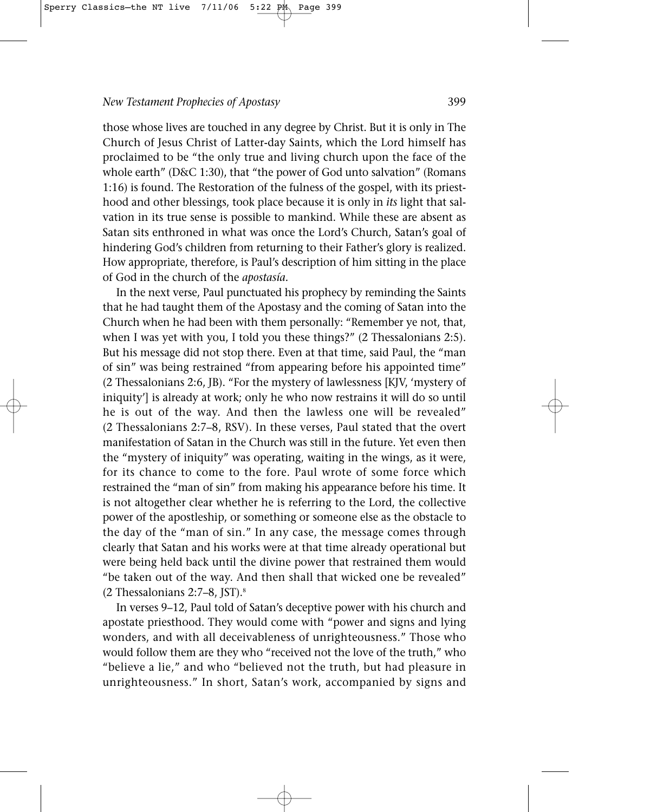those whose lives are touched in any degree by Christ. But it is only in The Church of Jesus Christ of Latter-day Saints, which the Lord himself has proclaimed to be "the only true and living church upon the face of the whole earth" (D&C 1:30), that "the power of God unto salvation" (Romans 1:16) is found. The Restoration of the fulness of the gospel, with its priesthood and other blessings, took place because it is only in *its* light that salvation in its true sense is possible to mankind. While these are absent as Satan sits enthroned in what was once the Lord's Church, Satan's goal of hindering God's children from returning to their Father's glory is realized. How appropriate, therefore, is Paul's description of him sitting in the place of God in the church of the *apostasía.*

In the next verse, Paul punctuated his prophecy by reminding the Saints that he had taught them of the Apostasy and the coming of Satan into the Church when he had been with them personally: "Remember ye not, that, when I was yet with you, I told you these things?" (2 Thessalonians 2:5). But his message did not stop there. Even at that time, said Paul, the "man of sin" was being restrained "from appearing before his appointed time" (2 Thessalonians 2:6, JB). "For the mystery of lawlessness [KJV, 'mystery of iniquity'] is already at work; only he who now restrains it will do so until he is out of the way. And then the lawless one will be revealed" (2 Thessalonians 2:7–8, RSV). In these verses, Paul stated that the overt manifestation of Satan in the Church was still in the future. Yet even then the "mystery of iniquity" was operating, waiting in the wings, as it were, for its chance to come to the fore. Paul wrote of some force which restrained the "man of sin" from making his appearance before his time. It is not altogether clear whether he is referring to the Lord, the collective power of the apostleship, or something or someone else as the obstacle to the day of the "man of sin." In any case, the message comes through clearly that Satan and his works were at that time already operational but were being held back until the divine power that restrained them would "be taken out of the way. And then shall that wicked one be revealed" (2 Thessalonians  $2:7-8$ , JST). $^8$ 

In verses 9–12, Paul told of Satan's deceptive power with his church and apostate priesthood. They would come with "power and signs and lying wonders, and with all deceivableness of unrighteousness." Those who would follow them are they who "received not the love of the truth," who "believe a lie," and who "believed not the truth, but had pleasure in unrighteousness." In short, Satan's work, accompanied by signs and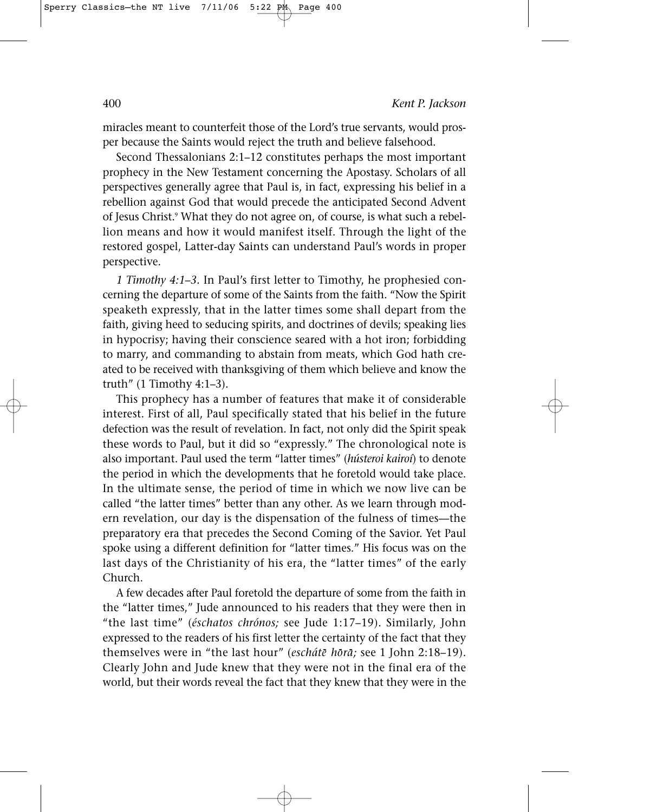miracles meant to counterfeit those of the Lord's true servants, would prosper because the Saints would reject the truth and believe falsehood.

Second Thessalonians 2:1–12 constitutes perhaps the most important prophecy in the New Testament concerning the Apostasy. Scholars of all perspectives generally agree that Paul is, in fact, expressing his belief in a rebellion against God that would precede the anticipated Second Advent of Jesus Christ.<sup>9</sup> What they do not agree on, of course, is what such a rebellion means and how it would manifest itself. Through the light of the restored gospel, Latter-day Saints can understand Paul's words in proper perspective.

*1 Timothy 4:1–3.* In Paul's first letter to Timothy, he prophesied concerning the departure of some of the Saints from the faith. "Now the Spirit speaketh expressly, that in the latter times some shall depart from the faith, giving heed to seducing spirits, and doctrines of devils; speaking lies in hypocrisy; having their conscience seared with a hot iron; forbidding to marry, and commanding to abstain from meats, which God hath created to be received with thanksgiving of them which believe and know the truth" (1 Timothy 4:1–3).

This prophecy has a number of features that make it of considerable interest. First of all, Paul specifically stated that his belief in the future defection was the result of revelation. In fact, not only did the Spirit speak these words to Paul, but it did so "expressly." The chronological note is also important. Paul used the term "latter times" (*hústeroi kairoí*) to denote the period in which the developments that he foretold would take place. In the ultimate sense, the period of time in which we now live can be called "the latter times" better than any other. As we learn through modern revelation, our day is the dispensation of the fulness of times—the preparatory era that precedes the Second Coming of the Savior. Yet Paul spoke using a different definition for "latter times." His focus was on the last days of the Christianity of his era, the "latter times" of the early Church.

A few decades after Paul foretold the departure of some from the faith in the "latter times," Jude announced to his readers that they were then in "the last time" (*éschatos chrónos;* see Jude 1:17–19). Similarly, John expressed to the readers of his first letter the certainty of the fact that they themselves were in "the last hour" (*eschátē hōrā*; see 1 John 2:18-19). Clearly John and Jude knew that they were not in the final era of the world, but their words reveal the fact that they knew that they were in the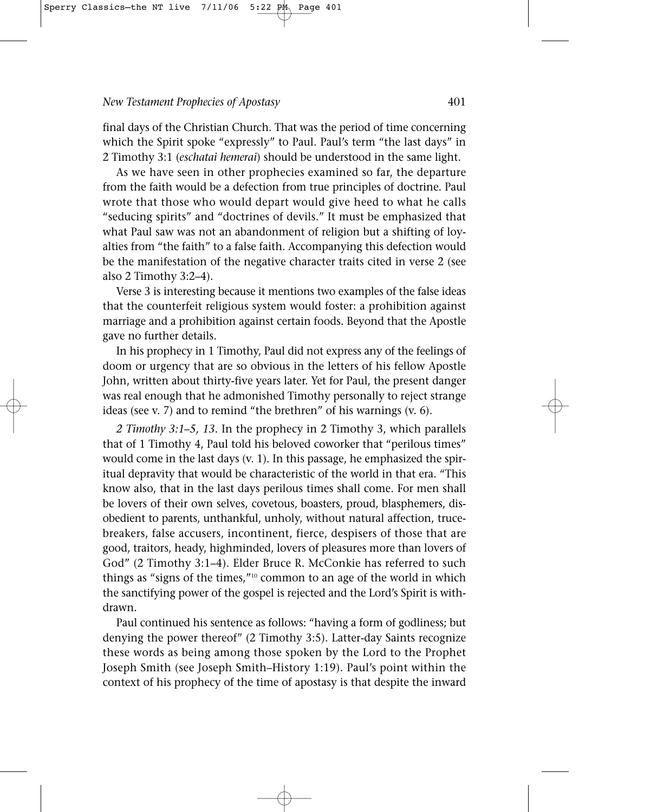final days of the Christian Church. That was the period of time concerning which the Spirit spoke "expressly" to Paul. Paul's term "the last days" in 2 Timothy 3:1 (*eschatai hemerai*) should be understood in the same light.

As we have seen in other prophecies examined so far, the departure from the faith would be a defection from true principles of doctrine. Paul wrote that those who would depart would give heed to what he calls "seducing spirits" and "doctrines of devils." It must be emphasized that what Paul saw was not an abandonment of religion but a shifting of loyalties from "the faith" to a false faith. Accompanying this defection would be the manifestation of the negative character traits cited in verse 2 (see also 2 Timothy 3:2–4).

Verse 3 is interesting because it mentions two examples of the false ideas that the counterfeit religious system would foster: a prohibition against marriage and a prohibition against certain foods. Beyond that the Apostle gave no further details.

In his prophecy in 1 Timothy, Paul did not express any of the feelings of doom or urgency that are so obvious in the letters of his fellow Apostle John, written about thirty-five years later. Yet for Paul, the present danger was real enough that he admonished Timothy personally to reject strange ideas (see v. 7) and to remind "the brethren" of his warnings (v. 6).

*2 Timothy 3:1–5, 13.* In the prophecy in 2 Timothy 3, which parallels that of 1 Timothy 4, Paul told his beloved coworker that "perilous times" would come in the last days (v. 1). In this passage, he emphasized the spiritual depravity that would be characteristic of the world in that era. "This know also, that in the last days perilous times shall come. For men shall be lovers of their own selves, covetous, boasters, proud, blasphemers, disobedient to parents, unthankful, unholy, without natural affection, trucebreakers, false accusers, incontinent, fierce, despisers of those that are good, traitors, heady, highminded, lovers of pleasures more than lovers of God" (2 Timothy 3:1–4). Elder Bruce R. McConkie has referred to such things as "signs of the times,"10 common to an age of the world in which the sanctifying power of the gospel is rejected and the Lord's Spirit is withdrawn.

Paul continued his sentence as follows: "having a form of godliness; but denying the power thereof" (2 Timothy 3:5). Latter-day Saints recognize these words as being among those spoken by the Lord to the Prophet Joseph Smith (see Joseph Smith–History 1:19). Paul's point within the context of his prophecy of the time of apostasy is that despite the inward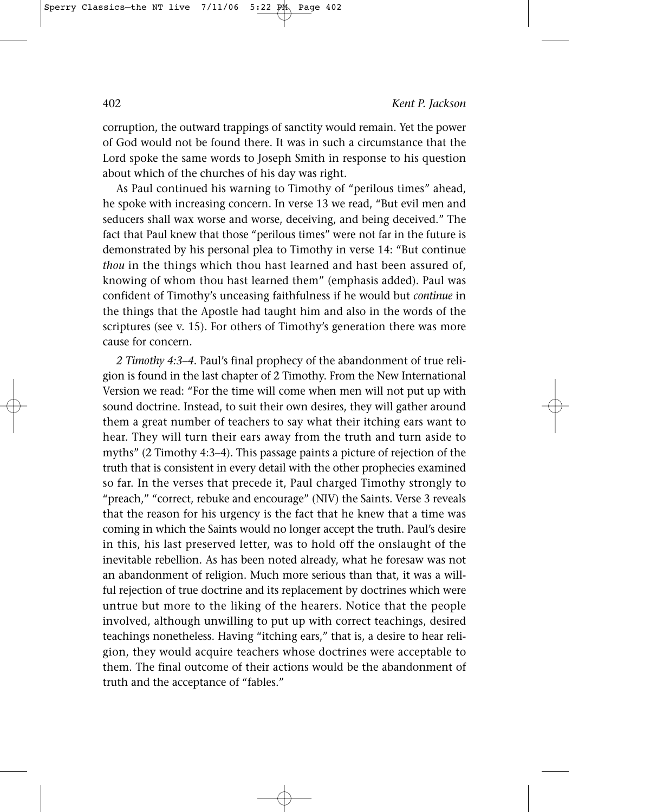corruption, the outward trappings of sanctity would remain. Yet the power of God would not be found there. It was in such a circumstance that the Lord spoke the same words to Joseph Smith in response to his question about which of the churches of his day was right.

As Paul continued his warning to Timothy of "perilous times" ahead, he spoke with increasing concern. In verse 13 we read, "But evil men and seducers shall wax worse and worse, deceiving, and being deceived." The fact that Paul knew that those "perilous times" were not far in the future is demonstrated by his personal plea to Timothy in verse 14: "But continue *thou* in the things which thou hast learned and hast been assured of, knowing of whom thou hast learned them" (emphasis added). Paul was confident of Timothy's unceasing faithfulness if he would but *continue* in the things that the Apostle had taught him and also in the words of the scriptures (see v. 15). For others of Timothy's generation there was more cause for concern.

*2 Timothy 4:3–4.* Paul's final prophecy of the abandonment of true religion is found in the last chapter of 2 Timothy. From the New International Version we read: "For the time will come when men will not put up with sound doctrine. Instead, to suit their own desires, they will gather around them a great number of teachers to say what their itching ears want to hear. They will turn their ears away from the truth and turn aside to myths" (2 Timothy 4:3–4). This passage paints a picture of rejection of the truth that is consistent in every detail with the other prophecies examined so far. In the verses that precede it, Paul charged Timothy strongly to "preach," "correct, rebuke and encourage" (NIV) the Saints. Verse 3 reveals that the reason for his urgency is the fact that he knew that a time was coming in which the Saints would no longer accept the truth. Paul's desire in this, his last preserved letter, was to hold off the onslaught of the inevitable rebellion. As has been noted already, what he foresaw was not an abandonment of religion. Much more serious than that, it was a willful rejection of true doctrine and its replacement by doctrines which were untrue but more to the liking of the hearers. Notice that the people involved, although unwilling to put up with correct teachings, desired teachings nonetheless. Having "itching ears," that is, a desire to hear religion, they would acquire teachers whose doctrines were acceptable to them. The final outcome of their actions would be the abandonment of truth and the acceptance of "fables."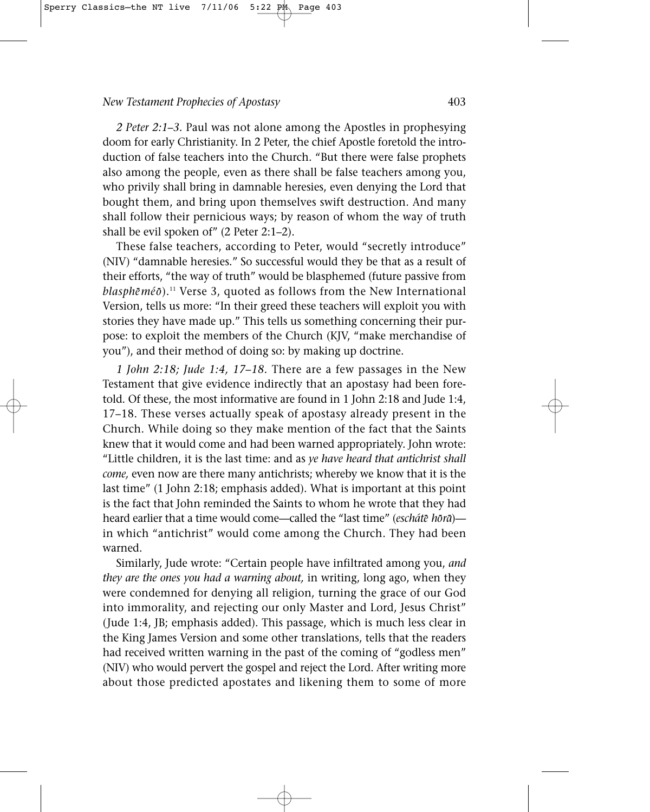*2 Peter 2:1–3.* Paul was not alone among the Apostles in prophesying doom for early Christianity. In 2 Peter, the chief Apostle foretold the introduction of false teachers into the Church. "But there were false prophets also among the people, even as there shall be false teachers among you, who privily shall bring in damnable heresies, even denying the Lord that bought them, and bring upon themselves swift destruction. And many shall follow their pernicious ways; by reason of whom the way of truth shall be evil spoken of" (2 Peter 2:1–2).

These false teachers, according to Peter, would "secretly introduce" (NIV) "damnable heresies." So successful would they be that as a result of their efforts, "the way of truth" would be blasphemed (future passive from *blasphēméō*).<sup>11</sup> Verse 3, quoted as follows from the New International Version, tells us more: "In their greed these teachers will exploit you with stories they have made up." This tells us something concerning their purpose: to exploit the members of the Church (KJV, "make merchandise of you"), and their method of doing so: by making up doctrine.

*1 John 2:18; Jude 1:4, 17–18.* There are a few passages in the New Testament that give evidence indirectly that an apostasy had been foretold. Of these, the most informative are found in 1 John 2:18 and Jude 1:4, 17–18. These verses actually speak of apostasy already present in the Church. While doing so they make mention of the fact that the Saints knew that it would come and had been warned appropriately. John wrote: "Little children, it is the last time: and as *ye have heard that antichrist shall come,* even now are there many antichrists; whereby we know that it is the last time" (1 John 2:18; emphasis added). What is important at this point is the fact that John reminded the Saints to whom he wrote that they had heard earlier that a time would come—called the "last time" (*escháte hōrā*) in which "antichrist" would come among the Church. They had been warned.

Similarly, Jude wrote: "Certain people have infiltrated among you, *and they are the ones you had a warning about,* in writing, long ago, when they were condemned for denying all religion, turning the grace of our God into immorality, and rejecting our only Master and Lord, Jesus Christ" (Jude 1:4, JB; emphasis added). This passage, which is much less clear in the King James Version and some other translations, tells that the readers had received written warning in the past of the coming of "godless men" (NIV) who would pervert the gospel and reject the Lord. After writing more about those predicted apostates and likening them to some of more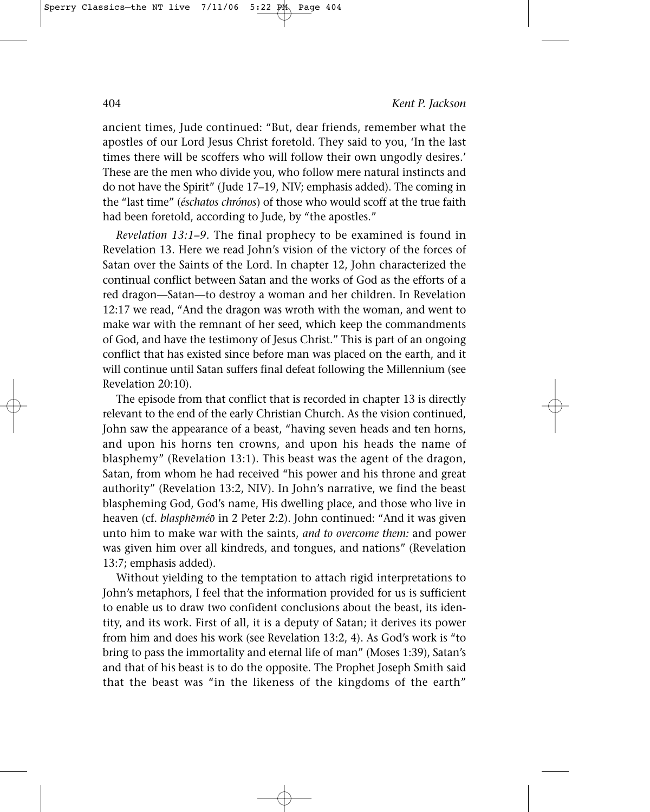ancient times, Jude continued: "But, dear friends, remember what the apostles of our Lord Jesus Christ foretold. They said to you, 'In the last times there will be scoffers who will follow their own ungodly desires.' These are the men who divide you, who follow mere natural instincts and do not have the Spirit" (Jude 17–19, NIV; emphasis added). The coming in the "last time" (*éschatos chrónos*) of those who would scoff at the true faith had been foretold, according to Jude, by "the apostles."

*Revelation 13:1–9.* The final prophecy to be examined is found in Revelation 13. Here we read John's vision of the victory of the forces of Satan over the Saints of the Lord. In chapter 12, John characterized the continual conflict between Satan and the works of God as the efforts of a red dragon—Satan—to destroy a woman and her children. In Revelation 12:17 we read, "And the dragon was wroth with the woman, and went to make war with the remnant of her seed, which keep the commandments of God, and have the testimony of Jesus Christ." This is part of an ongoing conflict that has existed since before man was placed on the earth, and it will continue until Satan suffers final defeat following the Millennium (see Revelation 20:10).

The episode from that conflict that is recorded in chapter 13 is directly relevant to the end of the early Christian Church. As the vision continued, John saw the appearance of a beast, "having seven heads and ten horns, and upon his horns ten crowns, and upon his heads the name of blasphemy" (Revelation 13:1). This beast was the agent of the dragon, Satan, from whom he had received "his power and his throne and great authority" (Revelation 13:2, NIV). In John's narrative, we find the beast blaspheming God, God's name, His dwelling place, and those who live in heaven (cf. *blasphēméō* in 2 Peter 2:2). John continued: "And it was given unto him to make war with the saints, *and to overcome them:* and power was given him over all kindreds, and tongues, and nations" (Revelation 13:7; emphasis added).

Without yielding to the temptation to attach rigid interpretations to John's metaphors, I feel that the information provided for us is sufficient to enable us to draw two confident conclusions about the beast, its identity, and its work. First of all, it is a deputy of Satan; it derives its power from him and does his work (see Revelation 13:2, 4). As God's work is "to bring to pass the immortality and eternal life of man" (Moses 1:39), Satan's and that of his beast is to do the opposite. The Prophet Joseph Smith said that the beast was "in the likeness of the kingdoms of the earth"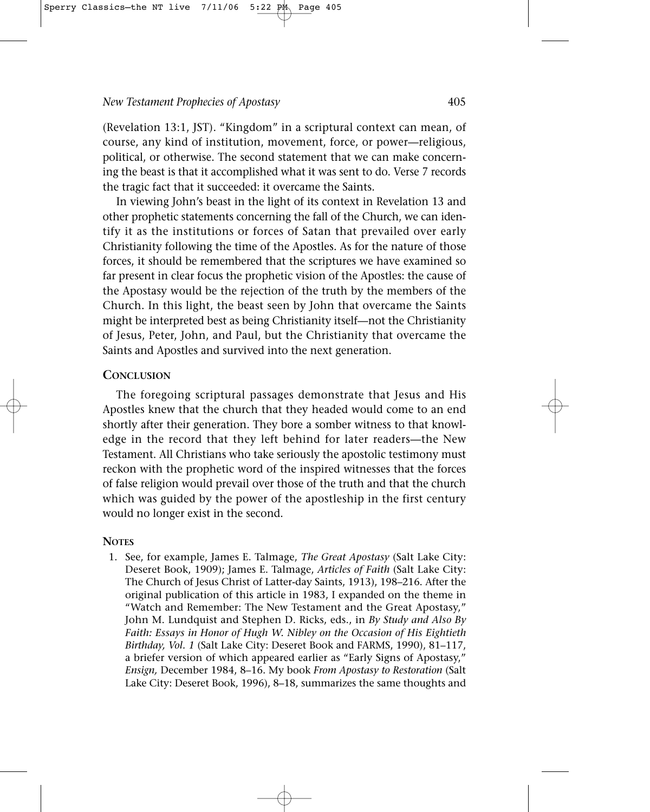(Revelation 13:1, JST). "Kingdom" in a scriptural context can mean, of course, any kind of institution, movement, force, or power—religious, political, or otherwise. The second statement that we can make concerning the beast is that it accomplished what it was sent to do. Verse 7 records the tragic fact that it succeeded: it overcame the Saints.

In viewing John's beast in the light of its context in Revelation 13 and other prophetic statements concerning the fall of the Church, we can identify it as the institutions or forces of Satan that prevailed over early Christianity following the time of the Apostles. As for the nature of those forces, it should be remembered that the scriptures we have examined so far present in clear focus the prophetic vision of the Apostles: the cause of the Apostasy would be the rejection of the truth by the members of the Church. In this light, the beast seen by John that overcame the Saints might be interpreted best as being Christianity itself—not the Christianity of Jesus, Peter, John, and Paul, but the Christianity that overcame the Saints and Apostles and survived into the next generation.

#### **CONCLUSION**

The foregoing scriptural passages demonstrate that Jesus and His Apostles knew that the church that they headed would come to an end shortly after their generation. They bore a somber witness to that knowledge in the record that they left behind for later readers—the New Testament. All Christians who take seriously the apostolic testimony must reckon with the prophetic word of the inspired witnesses that the forces of false religion would prevail over those of the truth and that the church which was guided by the power of the apostleship in the first century would no longer exist in the second.

### **NOTES**

1. See, for example, James E. Talmage, *The Great Apostasy* (Salt Lake City: Deseret Book, 1909); James E. Talmage, *Articles of Faith* (Salt Lake City: The Church of Jesus Christ of Latter-day Saints, 1913), 198–216. After the original publication of this article in 1983, I expanded on the theme in "Watch and Remember: The New Testament and the Great Apostasy," John M. Lundquist and Stephen D. Ricks, eds., in *By Study and Also By Faith: Essays in Honor of Hugh W. Nibley on the Occasion of His Eightieth Birthday, Vol. 1* (Salt Lake City: Deseret Book and FARMS, 1990), 81–117, a briefer version of which appeared earlier as "Early Signs of Apostasy," *Ensign,* December 1984, 8–16. My book *From Apostasy to Restoration* (Salt Lake City: Deseret Book, 1996), 8–18, summarizes the same thoughts and